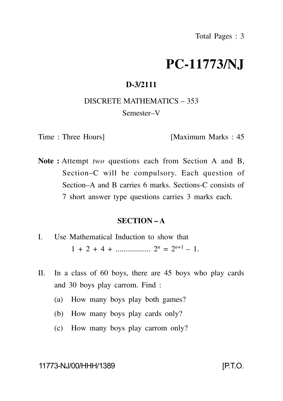# **PC-11773/NJ**

## **D-3/2111**

#### DISCRETE MATHEMATICS – 353

#### Semester–V

Time : Three Hours] [Maximum Marks : 45]

**Note :** Attempt *two* questions each from Section A and B, Section–C will be compulsory. Each question of Section–A and B carries 6 marks. Sections-C consists of 7 short answer type questions carries 3 marks each.

## **SECTION – A**

- I. Use Mathematical Induction to show that  $1 + 2 + 4 + \dots$  2*n* =  $2^{n+1} - 1$ .
- II. In a class of 60 boys, there are 45 boys who play cards and 30 boys play carrom. Find :
	- (a) How many boys play both games?
	- (b) How many boys play cards only?
	- (c) How many boys play carrom only?

11773-NJ/00/HHH/1389 [P.T.O.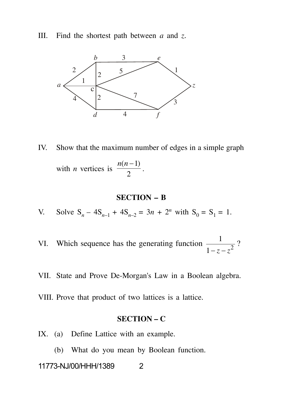III. Find the shortest path between *a* and *z*.



IV. Show that the maximum number of edges in a simple graph with *n* vertices is  $\frac{2}{2}$ .  $n(n-1)$ .

### **SECTION – B**

V. Solve 
$$
S_n - 4S_{n-1} + 4S_{n-2} = 3n + 2^n
$$
 with  $S_0 = S_1 = 1$ .

- VI. Which sequence has the generating function  $\frac{1}{1-z-z^2}$ ?  $-z-z^{2}$ ?
- VII. State and Prove De-Morgan's Law in a Boolean algebra.
- VIII. Prove that product of two lattices is a lattice.

# **SECTION – C**

- IX. (a) Define Lattice with an example.
	- (b) What do you mean by Boolean function.

#### 11773-NJ/00/HHH/1389 2